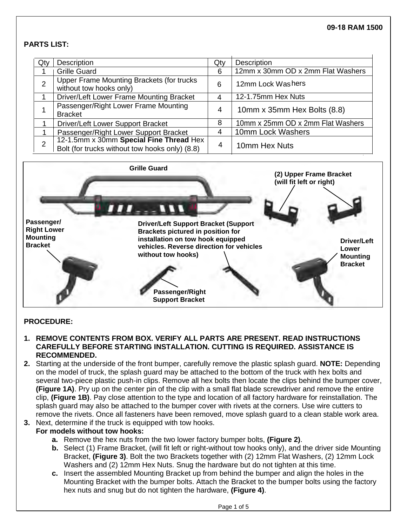# **PARTS LIST:**

| Qty            | Description                                                                               | Qty | Description                       |
|----------------|-------------------------------------------------------------------------------------------|-----|-----------------------------------|
|                | <b>Grille Guard</b>                                                                       | 6   | 12mm x 30mm OD x 2mm Flat Washers |
| $\overline{2}$ | Upper Frame Mounting Brackets (for trucks<br>without tow hooks only)                      | 6   | 12mm Lock Washers                 |
|                | Driver/Left Lower Frame Mounting Bracket                                                  | 4   | 12-1.75mm Hex Nuts                |
|                | Passenger/Right Lower Frame Mounting<br><b>Bracket</b>                                    | 4   | 10mm x 35mm Hex Bolts (8.8)       |
|                | Driver/Left Lower Support Bracket                                                         | 8   | 10mm x 25mm OD x 2mm Flat Washers |
|                | Passenger/Right Lower Support Bracket                                                     | 4   | 10mm Lock Washers                 |
| 2              | 12-1.5mm x 30mm Special Fine Thread Hex<br>Bolt (for trucks without tow hooks only) (8.8) | 4   | 10mm Hex Nuts                     |



## **PROCEDURE:**

- **1. REMOVE CONTENTS FROM BOX. VERIFY ALL PARTS ARE PRESENT. READ INSTRUCTIONS CAREFULLY BEFORE STARTING INSTALLATION. CUTTING IS REQUIRED. ASSISTANCE IS RECOMMENDED.**
- **2.** Starting at the underside of the front bumper, carefully remove the plastic splash guard. **NOTE:** Depending on the model of truck, the splash guard may be attached to the bottom of the truck with hex bolts and several two-piece plastic push-in clips. Remove all hex bolts then locate the clips behind the bumper cover, **(Figure 1A)**. Pry up on the center pin of the clip with a small flat blade screwdriver and remove the entire clip, **(Figure 1B)**. Pay close attention to the type and location of all factory hardware for reinstallation. The splash guard may also be attached to the bumper cover with rivets at the corners. Use wire cutters to remove the rivets. Once all fasteners have been removed, move splash guard to a clean stable work area.
- **3.** Next, determine if the truck is equipped with tow hooks.

#### **For models without tow hooks:**

- **a.** Remove the hex nuts from the two lower factory bumper bolts, **(Figure 2)**.
- **b.** Select (1) Frame Bracket, (will fit left or right-without tow hooks only), and the driver side Mounting Bracket, **(Figure 3)**. Bolt the two Brackets together with (2) 12mm Flat Washers, (2) 12mm Lock Washers and (2) 12mm Hex Nuts. Snug the hardware but do not tighten at this time.
- **c.** Insert the assembled Mounting Bracket up from behind the bumper and align the holes in the Mounting Bracket with the bumper bolts. Attach the Bracket to the bumper bolts using the factory hex nuts and snug but do not tighten the hardware, **(Figure 4)**.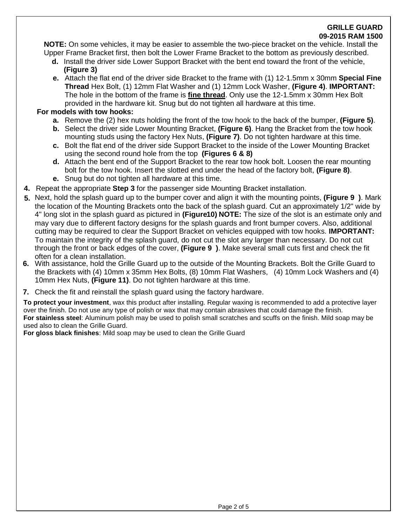## **GRILLE GUARD 09-2015 RAM 1500**

**NOTE:** On some vehicles, it may be easier to assemble the two-piece bracket on the vehicle. Install the Upper Frame Bracket first, then bolt the Lower Frame Bracket to the bottom as previously described.

- **d.** Install the driver side Lower Support Bracket with the bent end toward the front of the vehicle, **(Figure 3)**
- **e.** Attach the flat end of the driver side Bracket to the frame with (1) 12-1.5mm x 30mm **Special Fine Thread** Hex Bolt, (1) 12mm Flat Washer and (1) 12mm Lock Washer, **(Figure 4)**. **IMPORTANT:** The hole in the bottom of the frame is **fine thread**. Only use the 12-1.5mm x 30mm Hex Bolt provided in the hardware kit. Snug but do not tighten all hardware at this time.

## **For models with tow hooks:**

- **a.** Remove the (2) hex nuts holding the front of the tow hook to the back of the bumper, **(Figure 5)**.
- **b.** Select the driver side Lower Mounting Bracket, **(Figure 6)**. Hang the Bracket from the tow hook mounting studs using the factory Hex Nuts, **(Figure 7)**. Do not tighten hardware at this time.
- **c.** Bolt the flat end of the driver side Support Bracket to the inside of the Lower Mounting Bracket using the second round hole from the top **(Figures 6 & 8)**
- **d.** Attach the bent end of the Support Bracket to the rear tow hook bolt. Loosen the rear mounting bolt for the tow hook. Insert the slotted end under the head of the factory bolt, **(Figure 8)**.
- **e.** Snug but do not tighten all hardware at this time.
- **4.** Repeat the appropriate **Step 3** for the passenger side Mounting Bracket installation.
- **5.** Next, hold the splash guard up to the bumper cover and align it with the mounting points, **(Figure 9 )**. Mark the location of the Mounting Brackets onto the back of the splash guard. Cut an approximately 1/2" wide by 4" long slot in the splash guard as pictured in **(Figure 10) NOTE:** The size of the slot is an estimate only and may vary due to different factory designs for the splash guards and front bumper covers. Also, additional cutting may be required to clear the Support Bracket on vehicles equipped with tow hooks. **IMPORTANT:** To maintain the integrity of the splash guard, do not cut the slot any larger than necessary. Do not cut through the front or back edges of the cover, **(Figure 9 )**. Make several small cuts first and check the fit often for a clean installation.
- **6.** With assistance, hold the Grille Guard up to the outside of the Mounting Brackets. Bolt the Grille Guard to the Brackets with (4) 10mm x 35mm Hex Bolts, (8) 10mm Flat Washers, (4) 10mm Lock Washers and (4) 10mm Hex Nuts, **(Figure 11)**. Do not tighten hardware at this time.
- **7.** Check the fit and reinstall the splash guard using the factory hardware.

**To protect your investment**, wax this product after installing. Regular waxing is recommended to add a protective layer over the finish. Do not use any type of polish or wax that may contain abrasives that could damage the finish. **For stainless steel**: Aluminum polish may be used to polish small scratches and scuffs on the finish. Mild soap may be used also to clean the Grille Guard.

**For gloss black finishes**: Mild soap may be used to clean the Grille Guard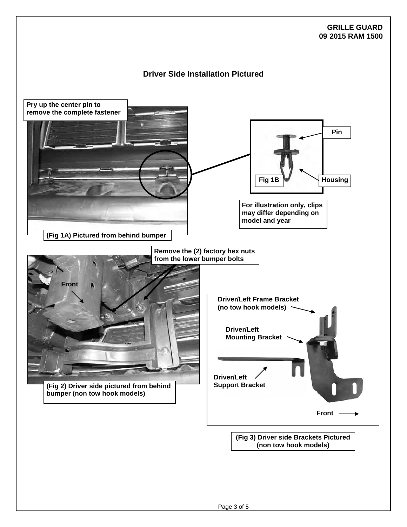#### **GRILLE GUARD 09 2015 RAM 1500**

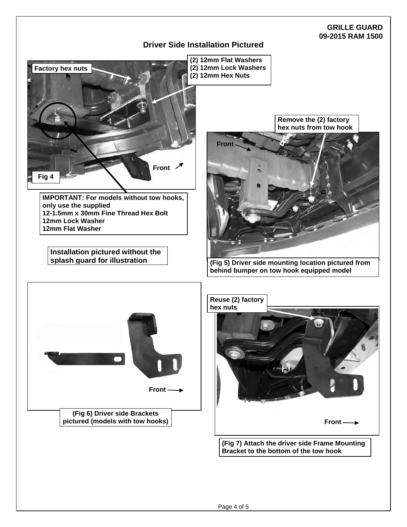## **GRILLE GUARD 09-2015 RAM 1500**

## **Driver Side Installation Pictured**